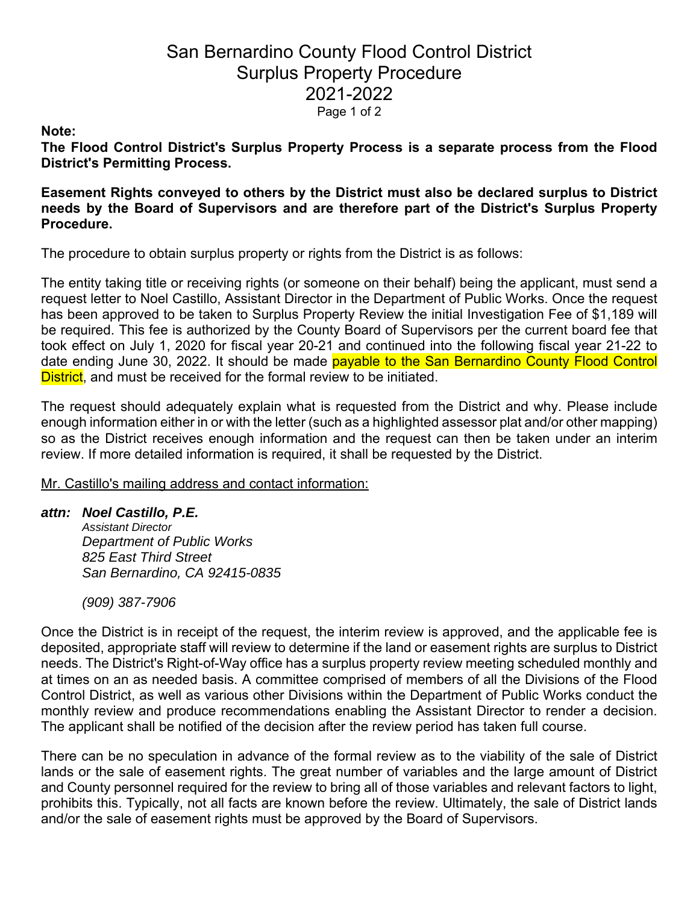# San Bernardino County Flood Control District Surplus Property Procedure 2021-2022 Page 1 of 2

### **Note:**

**The Flood Control District's Surplus Property Process is a separate process from the Flood District's Permitting Process.** 

**Easement Rights conveyed to others by the District must also be declared surplus to District needs by the Board of Supervisors and are therefore part of the District's Surplus Property Procedure.** 

The procedure to obtain surplus property or rights from the District is as follows:

The entity taking title or receiving rights (or someone on their behalf) being the applicant, must send a request letter to Noel Castillo, Assistant Director in the Department of Public Works. Once the request has been approved to be taken to Surplus Property Review the initial Investigation Fee of \$1,189 will be required. This fee is authorized by the County Board of Supervisors per the current board fee that took effect on July 1, 2020 for fiscal year 20-21 and continued into the following fiscal year 21-22 to date ending June 30, 2022. It should be made payable to the San Bernardino County Flood Control District, and must be received for the formal review to be initiated.

The request should adequately explain what is requested from the District and why. Please include enough information either in or with the letter (such as a highlighted assessor plat and/or other mapping) so as the District receives enough information and the request can then be taken under an interim review. If more detailed information is required, it shall be requested by the District.

Mr. Castillo's mailing address and contact information:

## *attn: Noel Castillo, P.E.*

*Assistant Director Department of Public Works 825 East Third Street San Bernardino, CA 92415-0835* 

*(909) 387-7906* 

Once the District is in receipt of the request, the interim review is approved, and the applicable fee is deposited, appropriate staff will review to determine if the land or easement rights are surplus to District needs. The District's Right-of-Way office has a surplus property review meeting scheduled monthly and at times on an as needed basis. A committee comprised of members of all the Divisions of the Flood Control District, as well as various other Divisions within the Department of Public Works conduct the monthly review and produce recommendations enabling the Assistant Director to render a decision. The applicant shall be notified of the decision after the review period has taken full course.

There can be no speculation in advance of the formal review as to the viability of the sale of District lands or the sale of easement rights. The great number of variables and the large amount of District and County personnel required for the review to bring all of those variables and relevant factors to light, prohibits this. Typically, not all facts are known before the review. Ultimately, the sale of District lands and/or the sale of easement rights must be approved by the Board of Supervisors.